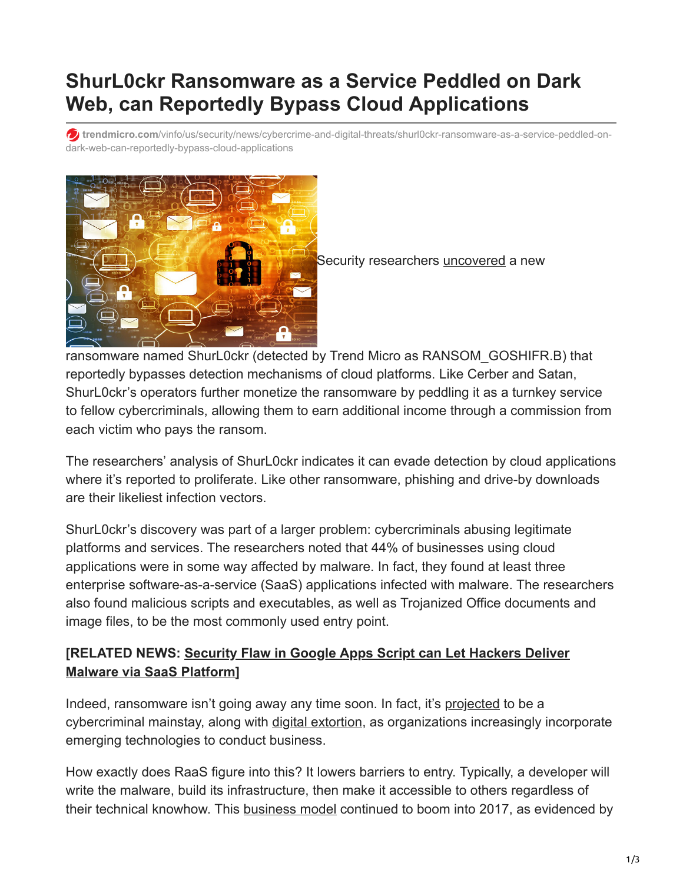# **ShurL0ckr Ransomware as a Service Peddled on Dark Web, can Reportedly Bypass Cloud Applications**

**trendmicro.com**[/vinfo/us/security/news/cybercrime-and-digital-threats/shurl0ckr-ransomware-as-a-service-peddled-on](https://www.trendmicro.com/vinfo/us/security/news/cybercrime-and-digital-threats/shurl0ckr-ransomware-as-a-service-peddled-on-dark-web-can-reportedly-bypass-cloud-applications)dark-web-can-reportedly-bypass-cloud-applications



Security researchers [uncovered](https://www.infosecurity-magazine.com/news/shurl0ckr-ransomware-evades/) a new

ransomware named ShurL0ckr (detected by Trend Micro as RANSOM\_GOSHIFR.B) that reportedly bypasses detection mechanisms of cloud platforms. Like Cerber and Satan, ShurL0ckr's operators further monetize the ransomware by peddling it as a turnkey service to fellow cybercriminals, allowing them to earn additional income through a commission from each victim who pays the ransom.

The researchers' analysis of ShurL0ckr indicates it can evade detection by cloud applications where it's reported to proliferate. Like other ransomware, phishing and drive-by downloads are their likeliest infection vectors.

ShurL0ckr's discovery was part of a larger problem: cybercriminals abusing legitimate platforms and services. The researchers noted that 44% of businesses using cloud applications were in some way affected by malware. In fact, they found at least three enterprise software-as-a-service (SaaS) applications infected with malware. The researchers also found malicious scripts and executables, as well as Trojanized Office documents and image files, to be the most commonly used entry point.

### **[\[RELATED NEWS: Security Flaw in Google Apps Script can Let Hackers Deliver](https://www.trendmicro.com/vinfo/us/security/news/virtualization-and-cloud/security-flaw-in-google-apps-script-can-let-hackers-deliver-malware-via-saas-platform) Malware via SaaS Platform]**

Indeed, ransomware isn't going away any time soon. In fact, it's [projected](https://www.trendmicro.com/vinfo/us/security/research-and-analysis/predictions/2018) to be a cybercriminal mainstay, along with [digital extortion,](https://blog.trendmicro.com/trendlabs-security-intelligence/digital-extortion-forward-looking-view/) as organizations increasingly incorporate emerging technologies to conduct business.

How exactly does RaaS figure into this? It lowers barriers to entry. Typically, a developer will write the malware, build its infrastructure, then make it accessible to others regardless of their technical knowhow. This [business model](https://www.trendmicro.com/vinfo/us/security/news/cybercrime-and-digital-threats/ransomware-as-a-service-what-this-means-for-enterprises) continued to boom into 2017, as evidenced by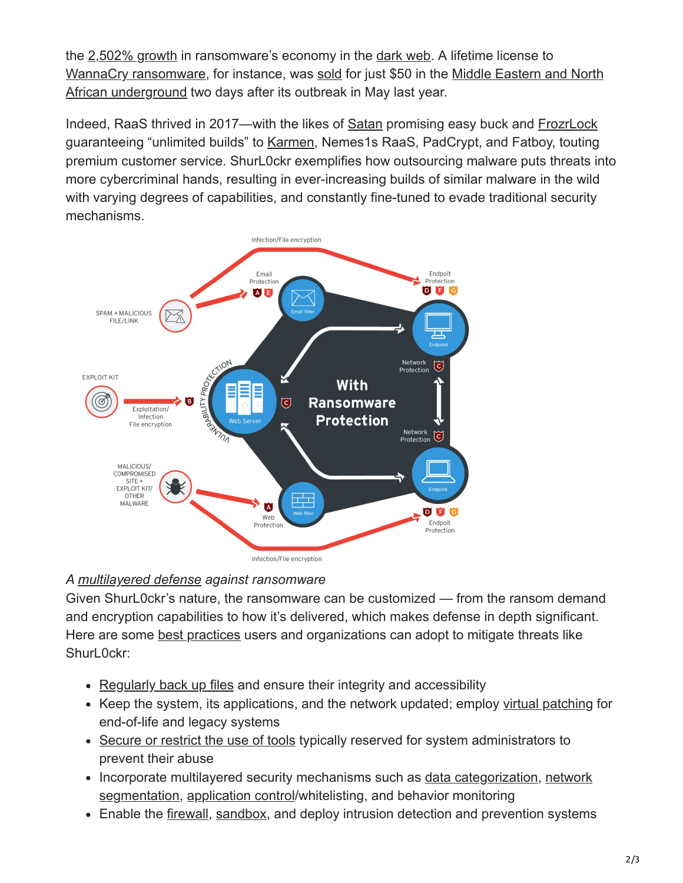the [2,502% growth](https://www.bleepingcomputer.com/news/security/ransomware-dark-web-economy-increased-by-2-502-percent/) in ransomware's economy in the [dark web](https://www.trendmicro.com/vinfo/us/security/news/cybercrime-and-digital-threats/exploring-the-deep-web). A lifetime license to [WannaCry ransomwar](https://www.trendmicro.com/vinfo/us/security/news/cybercrime-and-digital-threats/wannacry-wcry-ransomware-how-to-defend-against-it)[e, for instance, was s](https://www.trendmicro.com/vinfo/us/security/news/cybercrime-and-digital-threats/the-middle-eastern-and-north-african-underground-where-culture-and-cybercrime-meet)[old](http://blog.trendmicro.com/trendlabs-security-intelligence/wannacry-ransomware-middle-eastern-north-african-underground/) [for just \\$50 in the Middle Eastern and North](https://www.trendmicro.com/vinfo/us/security/news/cybercrime-and-digital-threats/the-middle-eastern-and-north-african-underground-where-culture-and-cybercrime-meet) African underground two days after its outbreak in May last year.

Indeed, RaaS thrived in 2017—with the likes of [Satan](https://www.trendmicro.com/vinfo/us/security/news/cybercrime-and-digital-threats/ransomware-recap-satan-offered-as-ransomware-as-a-service) promising easy buck and [FrozrLock](https://www.trendmicro.com/vinfo/us/security/news/cybercrime-and-digital-threats/ransomware-recap-ransomware-as-a-service-surge-slocker-resurfaces) guaranteeing "unlimited builds" to [Karmen,](https://www.trendmicro.com/vinfo/us/security/news/cybercrime-and-digital-threats/ransomware-recap-new-disguises-and-a-change-of-cryptocurrency) Nemes1s RaaS, PadCrypt, and Fatboy, touting premium customer service. ShurL0ckr exemplifies how outsourcing malware puts threats into more cybercriminal hands, resulting in ever-increasing builds of similar malware in the wild with varying degrees of capabilities, and constantly fine-tuned to evade traditional security mechanisms.



### *A [multilayered defense](https://www.trendmicro.com/vinfo/us/security/news/cybercrime-and-digital-threats/ransomware-101-what-it-is-and-how-it-works) against ransomware*

Given ShurL0ckr's nature, the ransomware can be customized — from the ransom demand and encryption capabilities to how it's delivered, which makes defense in depth significant. Here are some [best practices](https://www.trendmicro.com/vinfo/us/security/news/cybercrime-and-digital-threats/best-practices-ransomware) users and organizations can adopt to mitigate threats like ShurL0ckr:

- [Regularly back up files](https://www.trendmicro.com/vinfo/us/security/news/virtualization-and-cloud/best-practices-backing-up-data) and ensure their integrity and accessibility
- Keep the system, its applications, and the network updated; employ [virtual patching](https://www.trendmicro.com/en_us/business/products/network/integrated-atp/next-gen-intrusion-prevention-system.html) for end-of-life and legacy systems
- [Secure or restrict the use of tools](https://www.trendmicro.com/vinfo/us/security/news/cybercrime-and-digital-threats/best-practices-securing-sysadmin-tools) typically reserved for system administrators to prevent their abuse
- [Incorporate multilayered security mechanisms such as](https://www.trendmicro.com/vinfo/us/security/news/cyber-attacks/protecting-data-through-network-segmentation) [data categorizatio](https://www.trendmicro.com/vinfo/us/security/news/cyber-attacks/keeping-digital-assets-safe-need-for-data-classification)[n, network](https://www.trendmicro.com/vinfo/us/security/news/cyber-attacks/protecting-data-through-network-segmentation) segmentation, [application control/](https://www.trendmicro.com/en_us/business/products/user-protection/sps/endpoint/endpoint-application-control.html)whitelisting, and behavior monitoring
- Enable the [firewall](https://www.trendmicro.com/vinfo/us/security/news/security-technology/best-practices-deploying-an-effective-firewall), [sandbox](https://www.trendmicro.com/vinfo/us/security/news/security-technology/how-can-advanced-sandboxing-techniques-thwart-elusive-malware), and deploy intrusion detection and prevention systems